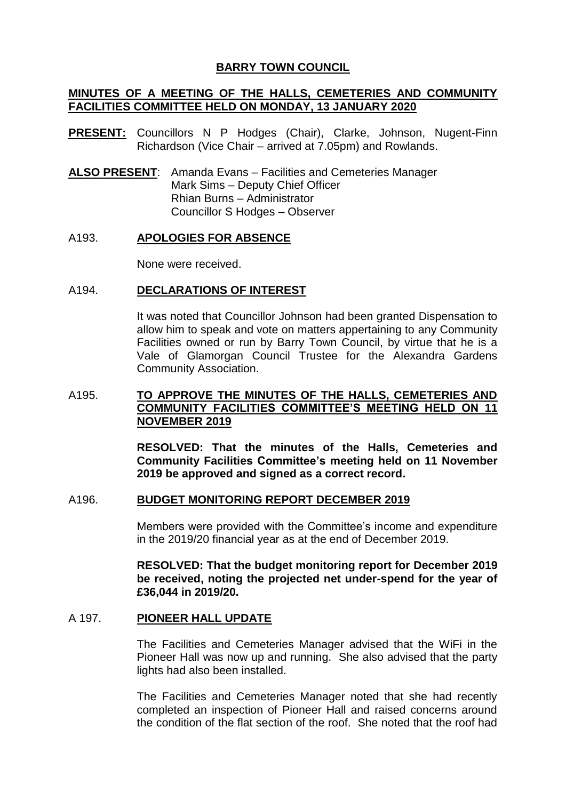# **BARRY TOWN COUNCIL**

# **MINUTES OF A MEETING OF THE HALLS, CEMETERIES AND COMMUNITY FACILITIES COMMITTEE HELD ON MONDAY, 13 JANUARY 2020**

- **PRESENT:** Councillors N P Hodges (Chair), Clarke, Johnson, Nugent-Finn Richardson (Vice Chair – arrived at 7.05pm) and Rowlands.
- **ALSO PRESENT**: Amanda Evans Facilities and Cemeteries Manager Mark Sims – Deputy Chief Officer Rhian Burns – Administrator Councillor S Hodges – Observer

#### A193. **APOLOGIES FOR ABSENCE**

None were received.

## A194. **DECLARATIONS OF INTEREST**

It was noted that Councillor Johnson had been granted Dispensation to allow him to speak and vote on matters appertaining to any Community Facilities owned or run by Barry Town Council, by virtue that he is a Vale of Glamorgan Council Trustee for the Alexandra Gardens Community Association.

# A195. **TO APPROVE THE MINUTES OF THE HALLS, CEMETERIES AND COMMUNITY FACILITIES COMMITTEE'S MEETING HELD ON 11 NOVEMBER 2019**

**RESOLVED: That the minutes of the Halls, Cemeteries and Community Facilities Committee's meeting held on 11 November 2019 be approved and signed as a correct record.**

### A196. **BUDGET MONITORING REPORT DECEMBER 2019**

Members were provided with the Committee's income and expenditure in the 2019/20 financial year as at the end of December 2019.

**RESOLVED: That the budget monitoring report for December 2019 be received, noting the projected net under-spend for the year of £36,044 in 2019/20.**

## A 197. **PIONEER HALL UPDATE**

The Facilities and Cemeteries Manager advised that the WiFi in the Pioneer Hall was now up and running. She also advised that the party lights had also been installed.

The Facilities and Cemeteries Manager noted that she had recently completed an inspection of Pioneer Hall and raised concerns around the condition of the flat section of the roof. She noted that the roof had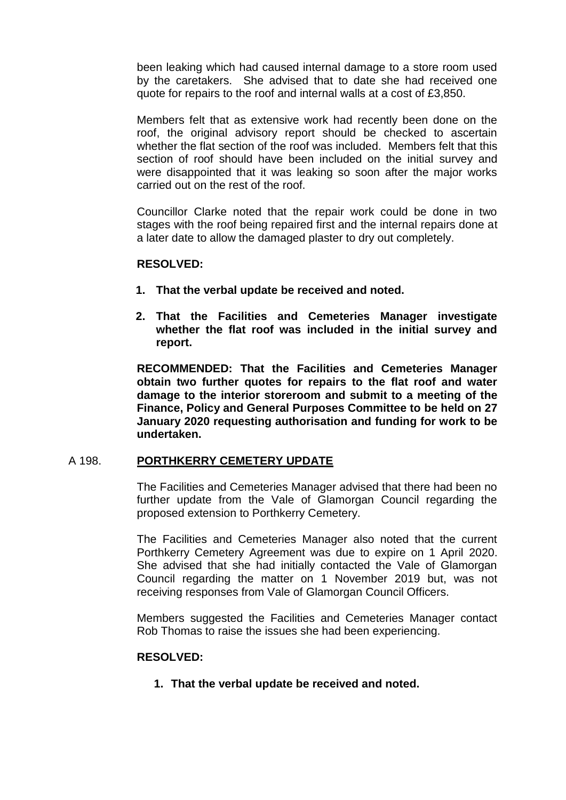been leaking which had caused internal damage to a store room used by the caretakers. She advised that to date she had received one quote for repairs to the roof and internal walls at a cost of £3,850.

Members felt that as extensive work had recently been done on the roof, the original advisory report should be checked to ascertain whether the flat section of the roof was included. Members felt that this section of roof should have been included on the initial survey and were disappointed that it was leaking so soon after the major works carried out on the rest of the roof.

Councillor Clarke noted that the repair work could be done in two stages with the roof being repaired first and the internal repairs done at a later date to allow the damaged plaster to dry out completely.

#### **RESOLVED:**

- **1. That the verbal update be received and noted.**
- **2. That the Facilities and Cemeteries Manager investigate whether the flat roof was included in the initial survey and report.**

**RECOMMENDED: That the Facilities and Cemeteries Manager obtain two further quotes for repairs to the flat roof and water damage to the interior storeroom and submit to a meeting of the Finance, Policy and General Purposes Committee to be held on 27 January 2020 requesting authorisation and funding for work to be undertaken.**

#### A 198. **PORTHKERRY CEMETERY UPDATE**

The Facilities and Cemeteries Manager advised that there had been no further update from the Vale of Glamorgan Council regarding the proposed extension to Porthkerry Cemetery.

The Facilities and Cemeteries Manager also noted that the current Porthkerry Cemetery Agreement was due to expire on 1 April 2020. She advised that she had initially contacted the Vale of Glamorgan Council regarding the matter on 1 November 2019 but, was not receiving responses from Vale of Glamorgan Council Officers.

Members suggested the Facilities and Cemeteries Manager contact Rob Thomas to raise the issues she had been experiencing.

### **RESOLVED:**

**1. That the verbal update be received and noted.**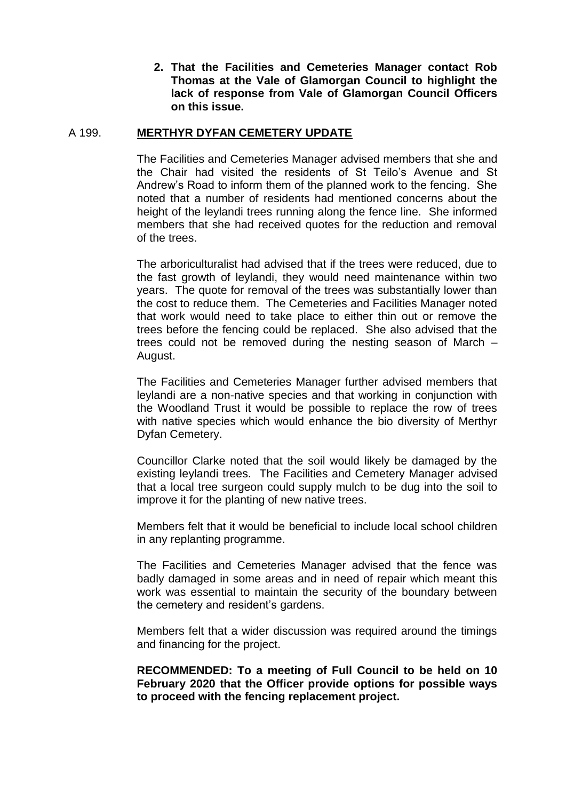**2. That the Facilities and Cemeteries Manager contact Rob Thomas at the Vale of Glamorgan Council to highlight the lack of response from Vale of Glamorgan Council Officers on this issue.**

# A 199. **MERTHYR DYFAN CEMETERY UPDATE**

The Facilities and Cemeteries Manager advised members that she and the Chair had visited the residents of St Teilo's Avenue and St Andrew's Road to inform them of the planned work to the fencing. She noted that a number of residents had mentioned concerns about the height of the leylandi trees running along the fence line. She informed members that she had received quotes for the reduction and removal of the trees.

The arboriculturalist had advised that if the trees were reduced, due to the fast growth of leylandi, they would need maintenance within two years. The quote for removal of the trees was substantially lower than the cost to reduce them. The Cemeteries and Facilities Manager noted that work would need to take place to either thin out or remove the trees before the fencing could be replaced. She also advised that the trees could not be removed during the nesting season of March – August.

The Facilities and Cemeteries Manager further advised members that leylandi are a non-native species and that working in conjunction with the Woodland Trust it would be possible to replace the row of trees with native species which would enhance the bio diversity of Merthyr Dyfan Cemetery.

Councillor Clarke noted that the soil would likely be damaged by the existing leylandi trees. The Facilities and Cemetery Manager advised that a local tree surgeon could supply mulch to be dug into the soil to improve it for the planting of new native trees.

Members felt that it would be beneficial to include local school children in any replanting programme.

The Facilities and Cemeteries Manager advised that the fence was badly damaged in some areas and in need of repair which meant this work was essential to maintain the security of the boundary between the cemetery and resident's gardens.

Members felt that a wider discussion was required around the timings and financing for the project.

**RECOMMENDED: To a meeting of Full Council to be held on 10 February 2020 that the Officer provide options for possible ways to proceed with the fencing replacement project.**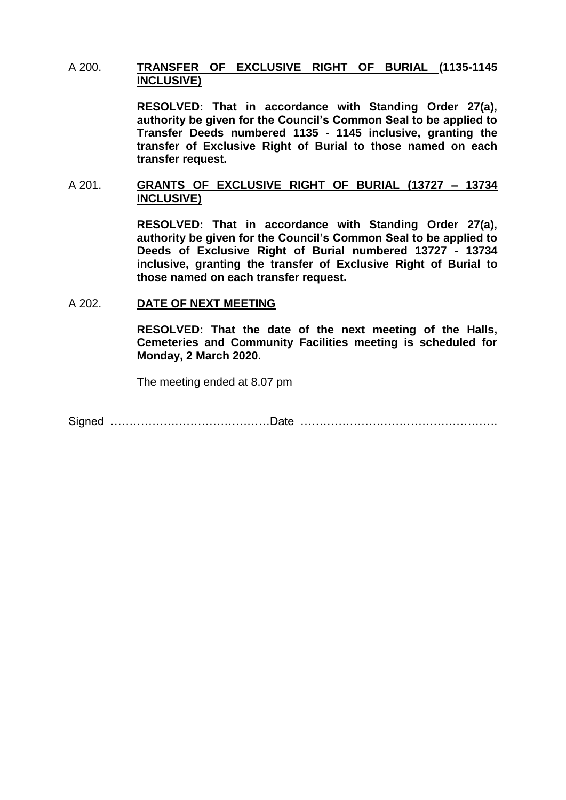## A 200. **TRANSFER OF EXCLUSIVE RIGHT OF BURIAL (1135-1145 INCLUSIVE)**

**RESOLVED: That in accordance with Standing Order 27(a), authority be given for the Council's Common Seal to be applied to Transfer Deeds numbered 1135 - 1145 inclusive, granting the transfer of Exclusive Right of Burial to those named on each transfer request.** 

## A 201. **GRANTS OF EXCLUSIVE RIGHT OF BURIAL (13727 – 13734 INCLUSIVE)**

**RESOLVED: That in accordance with Standing Order 27(a), authority be given for the Council's Common Seal to be applied to Deeds of Exclusive Right of Burial numbered 13727 - 13734 inclusive, granting the transfer of Exclusive Right of Burial to those named on each transfer request.** 

#### A 202. **DATE OF NEXT MEETING**

**RESOLVED: That the date of the next meeting of the Halls, Cemeteries and Community Facilities meeting is scheduled for Monday, 2 March 2020.**

The meeting ended at 8.07 pm

Signed ……………………………………Date …………………………………………….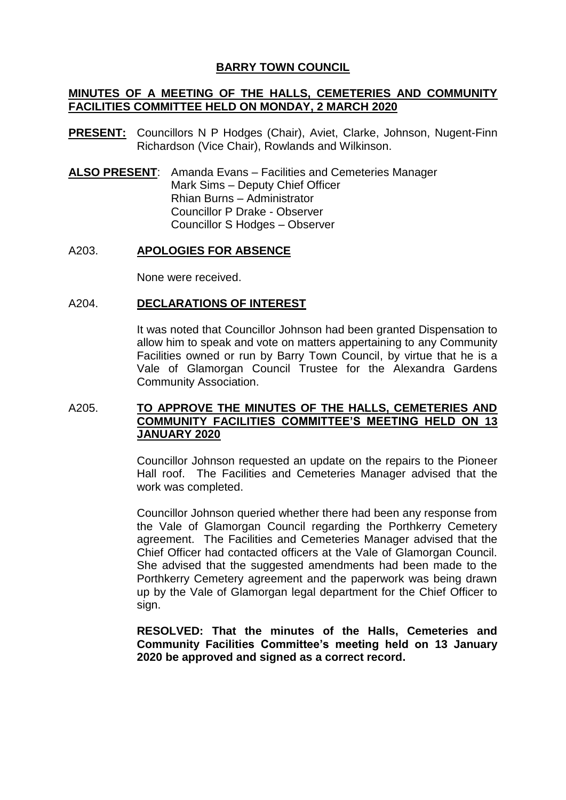# **BARRY TOWN COUNCIL**

# **MINUTES OF A MEETING OF THE HALLS, CEMETERIES AND COMMUNITY FACILITIES COMMITTEE HELD ON MONDAY, 2 MARCH 2020**

- **PRESENT:** Councillors N P Hodges (Chair), Aviet, Clarke, Johnson, Nugent-Finn Richardson (Vice Chair), Rowlands and Wilkinson.
- **ALSO PRESENT**: Amanda Evans Facilities and Cemeteries Manager Mark Sims – Deputy Chief Officer Rhian Burns – Administrator Councillor P Drake - Observer Councillor S Hodges – Observer

#### A203. **APOLOGIES FOR ABSENCE**

None were received.

#### A204. **DECLARATIONS OF INTEREST**

It was noted that Councillor Johnson had been granted Dispensation to allow him to speak and vote on matters appertaining to any Community Facilities owned or run by Barry Town Council, by virtue that he is a Vale of Glamorgan Council Trustee for the Alexandra Gardens Community Association.

## A205. **TO APPROVE THE MINUTES OF THE HALLS, CEMETERIES AND COMMUNITY FACILITIES COMMITTEE'S MEETING HELD ON 13 JANUARY 2020**

Councillor Johnson requested an update on the repairs to the Pioneer Hall roof. The Facilities and Cemeteries Manager advised that the work was completed.

Councillor Johnson queried whether there had been any response from the Vale of Glamorgan Council regarding the Porthkerry Cemetery agreement. The Facilities and Cemeteries Manager advised that the Chief Officer had contacted officers at the Vale of Glamorgan Council. She advised that the suggested amendments had been made to the Porthkerry Cemetery agreement and the paperwork was being drawn up by the Vale of Glamorgan legal department for the Chief Officer to sign.

**RESOLVED: That the minutes of the Halls, Cemeteries and Community Facilities Committee's meeting held on 13 January 2020 be approved and signed as a correct record.**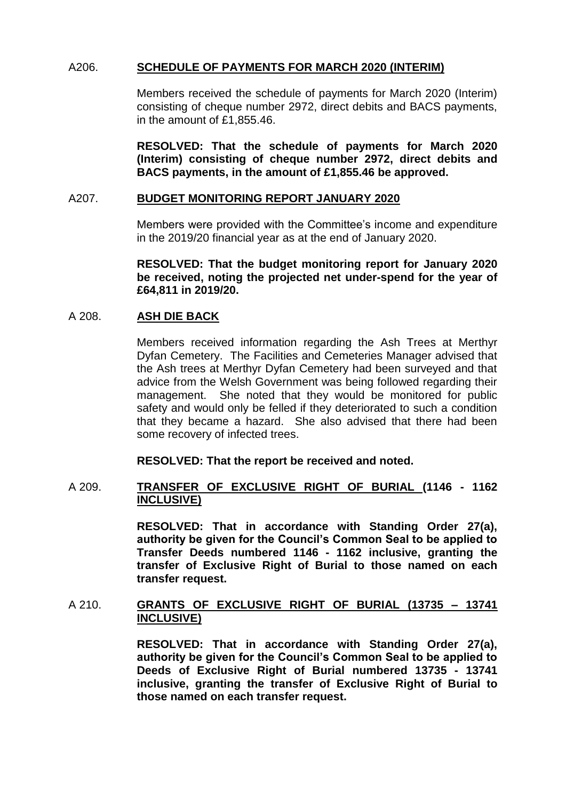# A206. **SCHEDULE OF PAYMENTS FOR MARCH 2020 (INTERIM)**

Members received the schedule of payments for March 2020 (Interim) consisting of cheque number 2972, direct debits and BACS payments, in the amount of £1,855.46.

**RESOLVED: That the schedule of payments for March 2020 (Interim) consisting of cheque number 2972, direct debits and BACS payments, in the amount of £1,855.46 be approved.**

#### A207. **BUDGET MONITORING REPORT JANUARY 2020**

Members were provided with the Committee's income and expenditure in the 2019/20 financial year as at the end of January 2020.

**RESOLVED: That the budget monitoring report for January 2020 be received, noting the projected net under-spend for the year of £64,811 in 2019/20.**

## A 208. **ASH DIE BACK**

Members received information regarding the Ash Trees at Merthyr Dyfan Cemetery. The Facilities and Cemeteries Manager advised that the Ash trees at Merthyr Dyfan Cemetery had been surveyed and that advice from the Welsh Government was being followed regarding their management. She noted that they would be monitored for public safety and would only be felled if they deteriorated to such a condition that they became a hazard. She also advised that there had been some recovery of infected trees.

**RESOLVED: That the report be received and noted.**

#### A 209. **TRANSFER OF EXCLUSIVE RIGHT OF BURIAL (1146 - 1162 INCLUSIVE)**

**RESOLVED: That in accordance with Standing Order 27(a), authority be given for the Council's Common Seal to be applied to Transfer Deeds numbered 1146 - 1162 inclusive, granting the transfer of Exclusive Right of Burial to those named on each transfer request.** 

## A 210. **GRANTS OF EXCLUSIVE RIGHT OF BURIAL (13735 – 13741 INCLUSIVE)**

**RESOLVED: That in accordance with Standing Order 27(a), authority be given for the Council's Common Seal to be applied to Deeds of Exclusive Right of Burial numbered 13735 - 13741 inclusive, granting the transfer of Exclusive Right of Burial to those named on each transfer request.**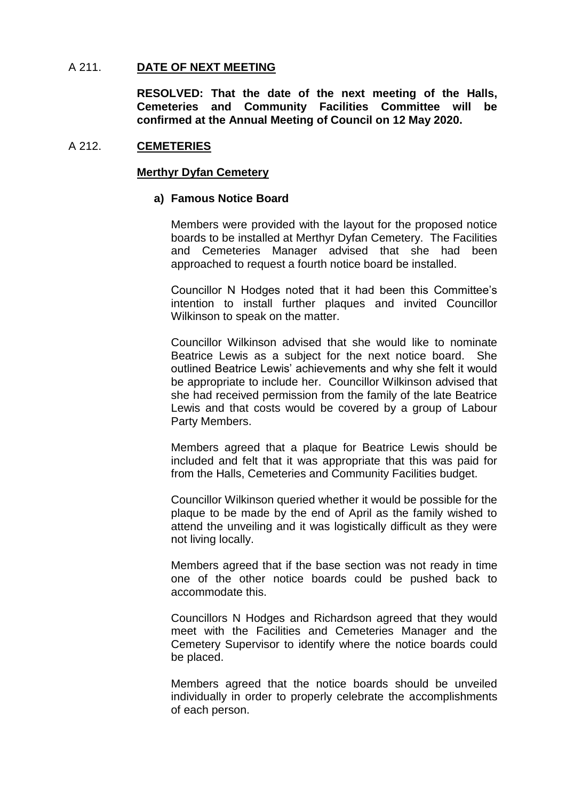## A 211. **DATE OF NEXT MEETING**

**RESOLVED: That the date of the next meeting of the Halls, Cemeteries and Community Facilities Committee will be confirmed at the Annual Meeting of Council on 12 May 2020.**

## A 212. **CEMETERIES**

## **Merthyr Dyfan Cemetery**

## **a) Famous Notice Board**

Members were provided with the layout for the proposed notice boards to be installed at Merthyr Dyfan Cemetery. The Facilities and Cemeteries Manager advised that she had been approached to request a fourth notice board be installed.

Councillor N Hodges noted that it had been this Committee's intention to install further plaques and invited Councillor Wilkinson to speak on the matter.

Councillor Wilkinson advised that she would like to nominate Beatrice Lewis as a subject for the next notice board. She outlined Beatrice Lewis' achievements and why she felt it would be appropriate to include her. Councillor Wilkinson advised that she had received permission from the family of the late Beatrice Lewis and that costs would be covered by a group of Labour Party Members.

Members agreed that a plaque for Beatrice Lewis should be included and felt that it was appropriate that this was paid for from the Halls, Cemeteries and Community Facilities budget.

Councillor Wilkinson queried whether it would be possible for the plaque to be made by the end of April as the family wished to attend the unveiling and it was logistically difficult as they were not living locally.

Members agreed that if the base section was not ready in time one of the other notice boards could be pushed back to accommodate this.

Councillors N Hodges and Richardson agreed that they would meet with the Facilities and Cemeteries Manager and the Cemetery Supervisor to identify where the notice boards could be placed.

Members agreed that the notice boards should be unveiled individually in order to properly celebrate the accomplishments of each person.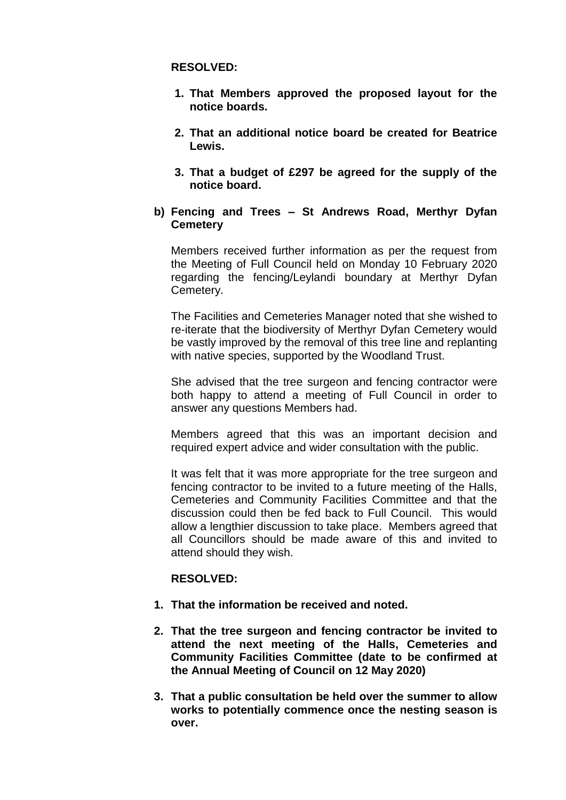## **RESOLVED:**

- **1. That Members approved the proposed layout for the notice boards.**
- **2. That an additional notice board be created for Beatrice Lewis.**
- **3. That a budget of £297 be agreed for the supply of the notice board.**
- **b) Fencing and Trees – St Andrews Road, Merthyr Dyfan Cemetery**

Members received further information as per the request from the Meeting of Full Council held on Monday 10 February 2020 regarding the fencing/Leylandi boundary at Merthyr Dyfan Cemetery.

The Facilities and Cemeteries Manager noted that she wished to re-iterate that the biodiversity of Merthyr Dyfan Cemetery would be vastly improved by the removal of this tree line and replanting with native species, supported by the Woodland Trust.

She advised that the tree surgeon and fencing contractor were both happy to attend a meeting of Full Council in order to answer any questions Members had.

Members agreed that this was an important decision and required expert advice and wider consultation with the public.

It was felt that it was more appropriate for the tree surgeon and fencing contractor to be invited to a future meeting of the Halls, Cemeteries and Community Facilities Committee and that the discussion could then be fed back to Full Council. This would allow a lengthier discussion to take place. Members agreed that all Councillors should be made aware of this and invited to attend should they wish.

# **RESOLVED:**

- **1. That the information be received and noted.**
- **2. That the tree surgeon and fencing contractor be invited to attend the next meeting of the Halls, Cemeteries and Community Facilities Committee (date to be confirmed at the Annual Meeting of Council on 12 May 2020)**
- **3. That a public consultation be held over the summer to allow works to potentially commence once the nesting season is over.**